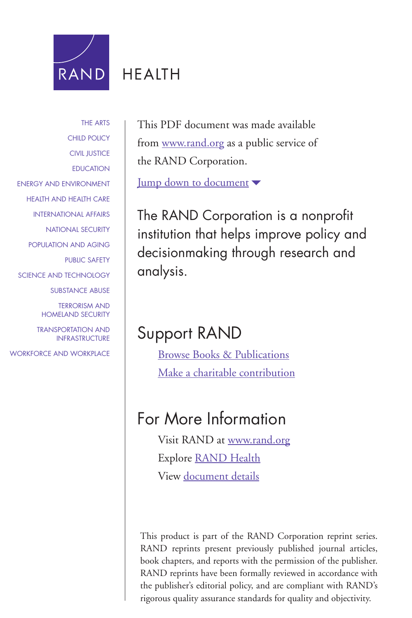

# **HEALTH**

[THE ARTS](http://www.rand.org/pdfrd/research_areas/arts/) [CHILD POLICY](http://www.rand.org/pdfrd/research_areas/children/) [CIVIL JUSTICE](http://www.rand.org/pdfrd/research_areas/civil_justice/) **[EDUCATION](http://www.rand.org/pdfrd/research_areas/education/)** [ENERGY AND ENVIRONMENT](http://www.rand.org/pdfrd/research_areas/energy_environment/) [HEALTH AND HEALTH CARE](http://www.rand.org/pdfrd/research_areas/health/) [INTERNATIONAL AFFAIRS](http://www.rand.org/pdfrd/research_areas/international_affairs/) [NATIONAL SECURITY](http://www.rand.org/pdfrd/research_areas/national_security/) [POPULATION AND AGING](http://www.rand.org/pdfrd/research_areas/population/) [PUBLIC SAFETY](http://www.rand.org/pdfrd/research_areas/public_safety/) [SCIENCE AND TECHNOLOGY](http://www.rand.org/pdfrd/research_areas/science_technology/) [SUBSTANCE ABUSE](http://www.rand.org/pdfrd/research_areas/substance_abuse/) TERRORISM AND [HOMELAND SECURITY](http://www.rand.org/pdfrd/research_areas/terrorism/)

> [TRANSPORTATION AND](http://www.rand.org/pdfrd/research_areas/infrastructure/) INFRASTRUCTURE

[WORKFORCE AND WORKPLACE](http://www.rand.org/pdfrd/research_areas/workforce/)

This PDF document was made available from [www.rand.org](http://www.rand.org/pdfrd/) as a public service of the RAND Corporation.

[Jump down to document](#page-1-0)  $\blacktriangledown$ 

The RAND Corporation is a nonprofit institution that helps improve policy and decisionmaking through research and analysis.

# Support RAND

[Browse Books & Publications](http://www.rand.org/pdfrd/pubs/online/) [Make a charitable contribution](http://www.rand.org/pdfrd/giving/contribute.html)

# For More Information

Visit RAND at [www.rand.org](http://www.rand.org/pdfrd/) Explore [RAND Health](http://www.rand.org/pdfrd/health/) View [document details](http://www.rand.org/pdfrd/pubs/reprints/RP1415/)

This product is part of the RAND Corporation reprint series. RAND reprints present previously published journal articles, book chapters, and reports with the permission of the publisher. RAND reprints have been formally reviewed in accordance with the publisher's editorial policy, and are compliant with RAND's rigorous quality assurance standards for quality and objectivity.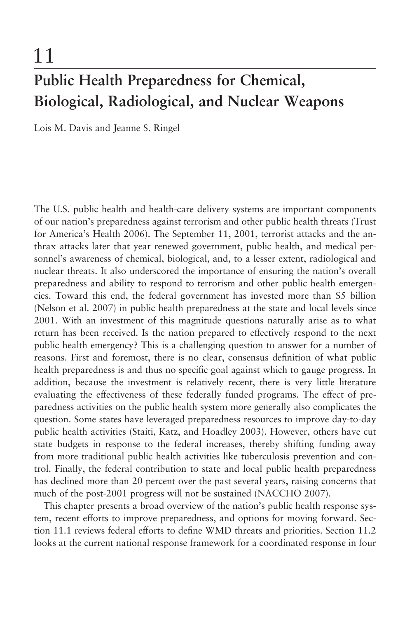# <span id="page-1-0"></span>Public Health Preparedness for Chemical, Biological, Radiological, and Nuclear Weapons

Lois M. Davis and Jeanne S. Ringel

The U.S. public health and health-care delivery systems are important components of our nation's preparedness against terrorism and other public health threats (Trust for America's Health 2006). The September 11, 2001, terrorist attacks and the anthrax attacks later that year renewed government, public health, and medical personnel's awareness of chemical, biological, and, to a lesser extent, radiological and nuclear threats. It also underscored the importance of ensuring the nation's overall preparedness and ability to respond to terrorism and other public health emergencies. Toward this end, the federal government has invested more than \$5 billion (Nelson et al. 2007) in public health preparedness at the state and local levels since 2001. With an investment of this magnitude questions naturally arise as to what return has been received. Is the nation prepared to effectively respond to the next public health emergency? This is a challenging question to answer for a number of reasons. First and foremost, there is no clear, consensus definition of what public health preparedness is and thus no specific goal against which to gauge progress. In addition, because the investment is relatively recent, there is very little literature evaluating the effectiveness of these federally funded programs. The effect of preparedness activities on the public health system more generally also complicates the question. Some states have leveraged preparedness resources to improve day-to-day public health activities (Staiti, Katz, and Hoadley 2003). However, others have cut state budgets in response to the federal increases, thereby shifting funding away from more traditional public health activities like tuberculosis prevention and control. Finally, the federal contribution to state and local public health preparedness has declined more than 20 percent over the past several years, raising concerns that much of the post-2001 progress will not be sustained (NACCHO 2007).

This chapter presents a broad overview of the nation's public health response system, recent efforts to improve preparedness, and options for moving forward. Section 11.1 reviews federal efforts to define WMD threats and priorities. Section 11.2 looks at the current national response framework for a coordinated response in four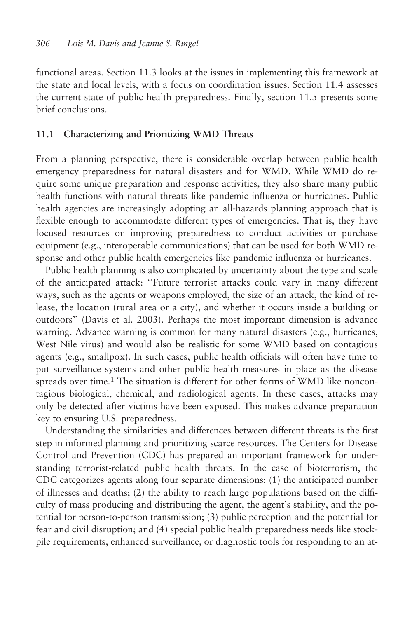functional areas. Section 11.3 looks at the issues in implementing this framework at the state and local levels, with a focus on coordination issues. Section 11.4 assesses the current state of public health preparedness. Finally, section 11.5 presents some brief conclusions.

#### 11.1 Characterizing and Prioritizing WMD Threats

From a planning perspective, there is considerable overlap between public health emergency preparedness for natural disasters and for WMD. While WMD do require some unique preparation and response activities, they also share many public health functions with natural threats like pandemic influenza or hurricanes. Public health agencies are increasingly adopting an all-hazards planning approach that is flexible enough to accommodate different types of emergencies. That is, they have focused resources on improving preparedness to conduct activities or purchase equipment (e.g., interoperable communications) that can be used for both WMD response and other public health emergencies like pandemic influenza or hurricanes.

Public health planning is also complicated by uncertainty about the type and scale of the anticipated attack: ''Future terrorist attacks could vary in many different ways, such as the agents or weapons employed, the size of an attack, the kind of release, the location (rural area or a city), and whether it occurs inside a building or outdoors'' (Davis et al. 2003). Perhaps the most important dimension is advance warning. Advance warning is common for many natural disasters (e.g., hurricanes, West Nile virus) and would also be realistic for some WMD based on contagious agents (e.g., smallpox). In such cases, public health officials will often have time to put surveillance systems and other public health measures in place as the disease spreads over time.<sup>1</sup> The situation is different for other forms of WMD like noncontagious biological, chemical, and radiological agents. In these cases, attacks may only be detected after victims have been exposed. This makes advance preparation key to ensuring U.S. preparedness.

Understanding the similarities and differences between different threats is the first step in informed planning and prioritizing scarce resources. The Centers for Disease Control and Prevention (CDC) has prepared an important framework for understanding terrorist-related public health threats. In the case of bioterrorism, the CDC categorizes agents along four separate dimensions: (1) the anticipated number of illnesses and deaths; (2) the ability to reach large populations based on the difficulty of mass producing and distributing the agent, the agent's stability, and the potential for person-to-person transmission; (3) public perception and the potential for fear and civil disruption; and (4) special public health preparedness needs like stockpile requirements, enhanced surveillance, or diagnostic tools for responding to an at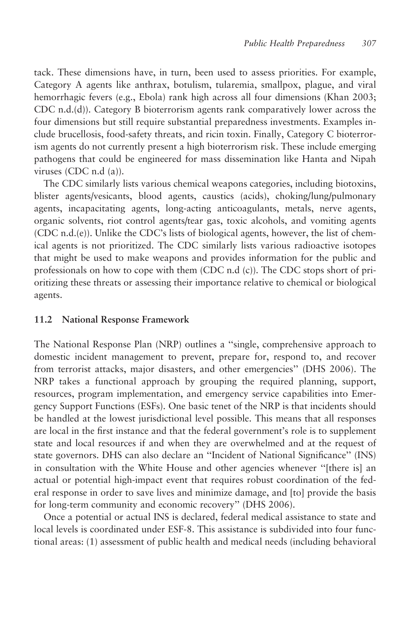tack. These dimensions have, in turn, been used to assess priorities. For example, Category A agents like anthrax, botulism, tularemia, smallpox, plague, and viral hemorrhagic fevers (e.g., Ebola) rank high across all four dimensions (Khan 2003; CDC n.d.(d)). Category B bioterrorism agents rank comparatively lower across the four dimensions but still require substantial preparedness investments. Examples include brucellosis, food-safety threats, and ricin toxin. Finally, Category C bioterrorism agents do not currently present a high bioterrorism risk. These include emerging pathogens that could be engineered for mass dissemination like Hanta and Nipah viruses (CDC n.d (a)).

The CDC similarly lists various chemical weapons categories, including biotoxins, blister agents/vesicants, blood agents, caustics (acids), choking/lung/pulmonary agents, incapacitating agents, long-acting anticoagulants, metals, nerve agents, organic solvents, riot control agents/tear gas, toxic alcohols, and vomiting agents (CDC n.d.(e)). Unlike the CDC's lists of biological agents, however, the list of chemical agents is not prioritized. The CDC similarly lists various radioactive isotopes that might be used to make weapons and provides information for the public and professionals on how to cope with them  $(CDC n.d (c))$ . The CDC stops short of prioritizing these threats or assessing their importance relative to chemical or biological agents.

#### 11.2 National Response Framework

The National Response Plan (NRP) outlines a ''single, comprehensive approach to domestic incident management to prevent, prepare for, respond to, and recover from terrorist attacks, major disasters, and other emergencies'' (DHS 2006). The NRP takes a functional approach by grouping the required planning, support, resources, program implementation, and emergency service capabilities into Emergency Support Functions (ESFs). One basic tenet of the NRP is that incidents should be handled at the lowest jurisdictional level possible. This means that all responses are local in the first instance and that the federal government's role is to supplement state and local resources if and when they are overwhelmed and at the request of state governors. DHS can also declare an ''Incident of National Significance'' (INS) in consultation with the White House and other agencies whenever ''[there is] an actual or potential high-impact event that requires robust coordination of the federal response in order to save lives and minimize damage, and [to] provide the basis for long-term community and economic recovery'' (DHS 2006).

Once a potential or actual INS is declared, federal medical assistance to state and local levels is coordinated under ESF-8. This assistance is subdivided into four functional areas: (1) assessment of public health and medical needs (including behavioral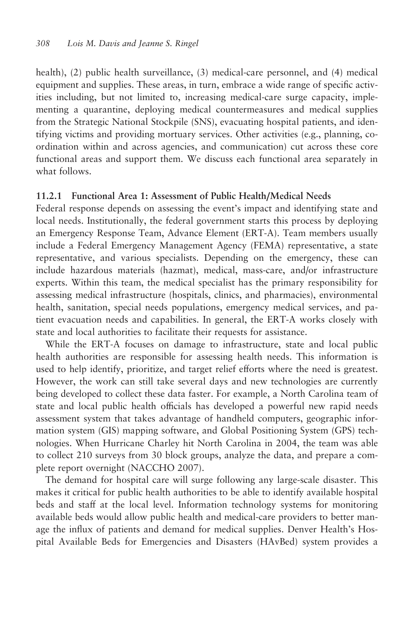health), (2) public health surveillance, (3) medical-care personnel, and (4) medical equipment and supplies. These areas, in turn, embrace a wide range of specific activities including, but not limited to, increasing medical-care surge capacity, implementing a quarantine, deploying medical countermeasures and medical supplies from the Strategic National Stockpile (SNS), evacuating hospital patients, and identifying victims and providing mortuary services. Other activities (e.g., planning, coordination within and across agencies, and communication) cut across these core functional areas and support them. We discuss each functional area separately in what follows.

#### 11.2.1 Functional Area 1: Assessment of Public Health/Medical Needs

Federal response depends on assessing the event's impact and identifying state and local needs. Institutionally, the federal government starts this process by deploying an Emergency Response Team, Advance Element (ERT-A). Team members usually include a Federal Emergency Management Agency (FEMA) representative, a state representative, and various specialists. Depending on the emergency, these can include hazardous materials (hazmat), medical, mass-care, and/or infrastructure experts. Within this team, the medical specialist has the primary responsibility for assessing medical infrastructure (hospitals, clinics, and pharmacies), environmental health, sanitation, special needs populations, emergency medical services, and patient evacuation needs and capabilities. In general, the ERT-A works closely with state and local authorities to facilitate their requests for assistance.

While the ERT-A focuses on damage to infrastructure, state and local public health authorities are responsible for assessing health needs. This information is used to help identify, prioritize, and target relief efforts where the need is greatest. However, the work can still take several days and new technologies are currently being developed to collect these data faster. For example, a North Carolina team of state and local public health officials has developed a powerful new rapid needs assessment system that takes advantage of handheld computers, geographic information system (GIS) mapping software, and Global Positioning System (GPS) technologies. When Hurricane Charley hit North Carolina in 2004, the team was able to collect 210 surveys from 30 block groups, analyze the data, and prepare a complete report overnight (NACCHO 2007).

The demand for hospital care will surge following any large-scale disaster. This makes it critical for public health authorities to be able to identify available hospital beds and staff at the local level. Information technology systems for monitoring available beds would allow public health and medical-care providers to better manage the influx of patients and demand for medical supplies. Denver Health's Hospital Available Beds for Emergencies and Disasters (HAvBed) system provides a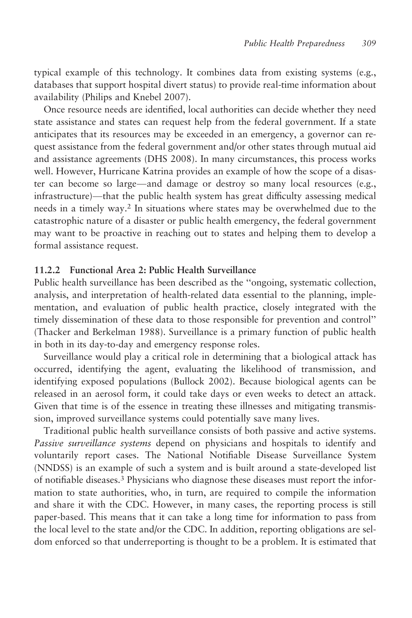typical example of this technology. It combines data from existing systems (e.g., databases that support hospital divert status) to provide real-time information about availability (Philips and Knebel 2007).

Once resource needs are identified, local authorities can decide whether they need state assistance and states can request help from the federal government. If a state anticipates that its resources may be exceeded in an emergency, a governor can request assistance from the federal government and/or other states through mutual aid and assistance agreements (DHS 2008). In many circumstances, this process works well. However, Hurricane Katrina provides an example of how the scope of a disaster can become so large—and damage or destroy so many local resources (e.g., infrastructure)—that the public health system has great difficulty assessing medical needs in a timely way.<sup>2</sup> In situations where states may be overwhelmed due to the catastrophic nature of a disaster or public health emergency, the federal government may want to be proactive in reaching out to states and helping them to develop a formal assistance request.

## 11.2.2 Functional Area 2: Public Health Surveillance

Public health surveillance has been described as the ''ongoing, systematic collection, analysis, and interpretation of health-related data essential to the planning, implementation, and evaluation of public health practice, closely integrated with the timely dissemination of these data to those responsible for prevention and control'' (Thacker and Berkelman 1988). Surveillance is a primary function of public health in both in its day-to-day and emergency response roles.

Surveillance would play a critical role in determining that a biological attack has occurred, identifying the agent, evaluating the likelihood of transmission, and identifying exposed populations (Bullock 2002). Because biological agents can be released in an aerosol form, it could take days or even weeks to detect an attack. Given that time is of the essence in treating these illnesses and mitigating transmission, improved surveillance systems could potentially save many lives.

Traditional public health surveillance consists of both passive and active systems. Passive surveillance systems depend on physicians and hospitals to identify and voluntarily report cases. The National Notifiable Disease Surveillance System (NNDSS) is an example of such a system and is built around a state-developed list of notifiable diseases.<sup>3</sup> Physicians who diagnose these diseases must report the information to state authorities, who, in turn, are required to compile the information and share it with the CDC. However, in many cases, the reporting process is still paper-based. This means that it can take a long time for information to pass from the local level to the state and/or the CDC. In addition, reporting obligations are seldom enforced so that underreporting is thought to be a problem. It is estimated that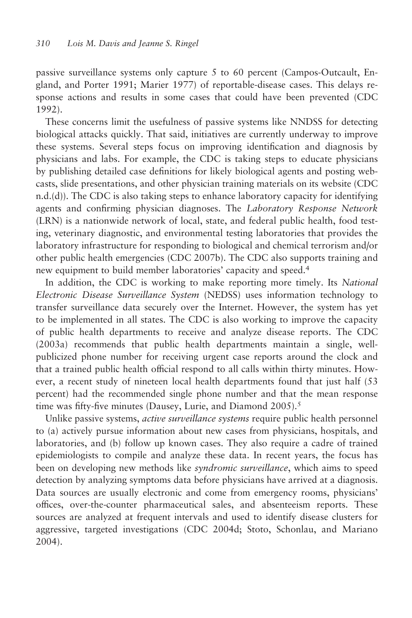passive surveillance systems only capture 5 to 60 percent (Campos-Outcault, England, and Porter 1991; Marier 1977) of reportable-disease cases. This delays response actions and results in some cases that could have been prevented (CDC 1992).

These concerns limit the usefulness of passive systems like NNDSS for detecting biological attacks quickly. That said, initiatives are currently underway to improve these systems. Several steps focus on improving identification and diagnosis by physicians and labs. For example, the CDC is taking steps to educate physicians by publishing detailed case definitions for likely biological agents and posting webcasts, slide presentations, and other physician training materials on its website (CDC n.d.(d)). The CDC is also taking steps to enhance laboratory capacity for identifying agents and confirming physician diagnoses. The Laboratory Response Network (LRN) is a nationwide network of local, state, and federal public health, food testing, veterinary diagnostic, and environmental testing laboratories that provides the laboratory infrastructure for responding to biological and chemical terrorism and/or other public health emergencies (CDC 2007b). The CDC also supports training and new equipment to build member laboratories' capacity and speed.<sup>4</sup>

In addition, the CDC is working to make reporting more timely. Its National Electronic Disease Surveillance System (NEDSS) uses information technology to transfer surveillance data securely over the Internet. However, the system has yet to be implemented in all states. The CDC is also working to improve the capacity of public health departments to receive and analyze disease reports. The CDC (2003a) recommends that public health departments maintain a single, wellpublicized phone number for receiving urgent case reports around the clock and that a trained public health official respond to all calls within thirty minutes. However, a recent study of nineteen local health departments found that just half (53 percent) had the recommended single phone number and that the mean response time was fifty-five minutes (Dausey, Lurie, and Diamond 2005).<sup>5</sup>

Unlike passive systems, active surveillance systems require public health personnel to (a) actively pursue information about new cases from physicians, hospitals, and laboratories, and (b) follow up known cases. They also require a cadre of trained epidemiologists to compile and analyze these data. In recent years, the focus has been on developing new methods like *syndromic surveillance*, which aims to speed detection by analyzing symptoms data before physicians have arrived at a diagnosis. Data sources are usually electronic and come from emergency rooms, physicians' offices, over-the-counter pharmaceutical sales, and absenteeism reports. These sources are analyzed at frequent intervals and used to identify disease clusters for aggressive, targeted investigations (CDC 2004d; Stoto, Schonlau, and Mariano 2004).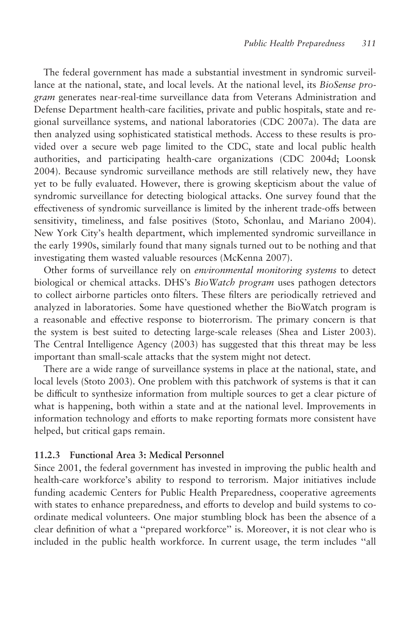The federal government has made a substantial investment in syndromic surveillance at the national, state, and local levels. At the national level, its *BioSense pro*gram generates near-real-time surveillance data from Veterans Administration and Defense Department health-care facilities, private and public hospitals, state and regional surveillance systems, and national laboratories (CDC 2007a). The data are then analyzed using sophisticated statistical methods. Access to these results is provided over a secure web page limited to the CDC, state and local public health authorities, and participating health-care organizations (CDC 2004d; Loonsk 2004). Because syndromic surveillance methods are still relatively new, they have yet to be fully evaluated. However, there is growing skepticism about the value of syndromic surveillance for detecting biological attacks. One survey found that the effectiveness of syndromic surveillance is limited by the inherent trade-offs between sensitivity, timeliness, and false positives (Stoto, Schonlau, and Mariano 2004). New York City's health department, which implemented syndromic surveillance in the early 1990s, similarly found that many signals turned out to be nothing and that investigating them wasted valuable resources (McKenna 2007).

Other forms of surveillance rely on environmental monitoring systems to detect biological or chemical attacks. DHS's BioWatch program uses pathogen detectors to collect airborne particles onto filters. These filters are periodically retrieved and analyzed in laboratories. Some have questioned whether the BioWatch program is a reasonable and effective response to bioterrorism. The primary concern is that the system is best suited to detecting large-scale releases (Shea and Lister 2003). The Central Intelligence Agency (2003) has suggested that this threat may be less important than small-scale attacks that the system might not detect.

There are a wide range of surveillance systems in place at the national, state, and local levels (Stoto 2003). One problem with this patchwork of systems is that it can be difficult to synthesize information from multiple sources to get a clear picture of what is happening, both within a state and at the national level. Improvements in information technology and efforts to make reporting formats more consistent have helped, but critical gaps remain.

## 11.2.3 Functional Area 3: Medical Personnel

Since 2001, the federal government has invested in improving the public health and health-care workforce's ability to respond to terrorism. Major initiatives include funding academic Centers for Public Health Preparedness, cooperative agreements with states to enhance preparedness, and efforts to develop and build systems to coordinate medical volunteers. One major stumbling block has been the absence of a clear definition of what a ''prepared workforce'' is. Moreover, it is not clear who is included in the public health workforce. In current usage, the term includes ''all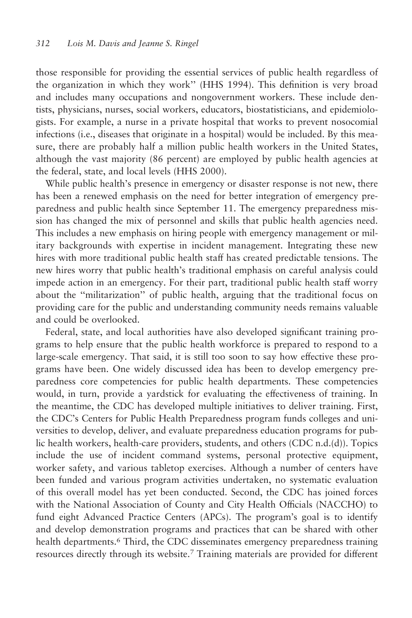those responsible for providing the essential services of public health regardless of the organization in which they work'' (HHS 1994). This definition is very broad and includes many occupations and nongovernment workers. These include dentists, physicians, nurses, social workers, educators, biostatisticians, and epidemiologists. For example, a nurse in a private hospital that works to prevent nosocomial infections (i.e., diseases that originate in a hospital) would be included. By this measure, there are probably half a million public health workers in the United States, although the vast majority (86 percent) are employed by public health agencies at the federal, state, and local levels (HHS 2000).

While public health's presence in emergency or disaster response is not new, there has been a renewed emphasis on the need for better integration of emergency preparedness and public health since September 11. The emergency preparedness mission has changed the mix of personnel and skills that public health agencies need. This includes a new emphasis on hiring people with emergency management or military backgrounds with expertise in incident management. Integrating these new hires with more traditional public health staff has created predictable tensions. The new hires worry that public health's traditional emphasis on careful analysis could impede action in an emergency. For their part, traditional public health staff worry about the ''militarization'' of public health, arguing that the traditional focus on providing care for the public and understanding community needs remains valuable and could be overlooked.

Federal, state, and local authorities have also developed significant training programs to help ensure that the public health workforce is prepared to respond to a large-scale emergency. That said, it is still too soon to say how effective these programs have been. One widely discussed idea has been to develop emergency preparedness core competencies for public health departments. These competencies would, in turn, provide a yardstick for evaluating the effectiveness of training. In the meantime, the CDC has developed multiple initiatives to deliver training. First, the CDC's Centers for Public Health Preparedness program funds colleges and universities to develop, deliver, and evaluate preparedness education programs for public health workers, health-care providers, students, and others (CDC n.d.(d)). Topics include the use of incident command systems, personal protective equipment, worker safety, and various tabletop exercises. Although a number of centers have been funded and various program activities undertaken, no systematic evaluation of this overall model has yet been conducted. Second, the CDC has joined forces with the National Association of County and City Health Officials (NACCHO) to fund eight Advanced Practice Centers (APCs). The program's goal is to identify and develop demonstration programs and practices that can be shared with other health departments.<sup>6</sup> Third, the CDC disseminates emergency preparedness training resources directly through its website.<sup>7</sup> Training materials are provided for different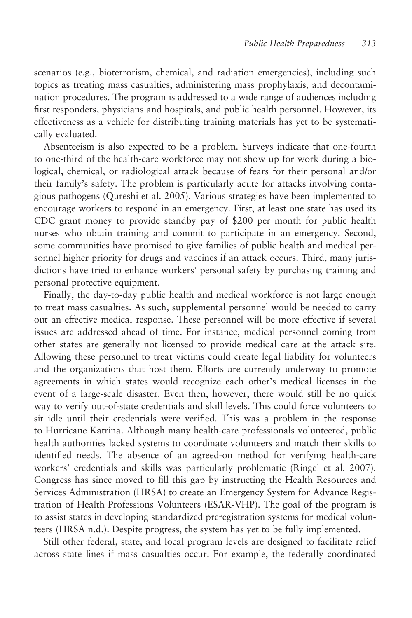scenarios (e.g., bioterrorism, chemical, and radiation emergencies), including such topics as treating mass casualties, administering mass prophylaxis, and decontamination procedures. The program is addressed to a wide range of audiences including first responders, physicians and hospitals, and public health personnel. However, its effectiveness as a vehicle for distributing training materials has yet to be systematically evaluated.

Absenteeism is also expected to be a problem. Surveys indicate that one-fourth to one-third of the health-care workforce may not show up for work during a biological, chemical, or radiological attack because of fears for their personal and/or their family's safety. The problem is particularly acute for attacks involving contagious pathogens (Qureshi et al. 2005). Various strategies have been implemented to encourage workers to respond in an emergency. First, at least one state has used its CDC grant money to provide standby pay of \$200 per month for public health nurses who obtain training and commit to participate in an emergency. Second, some communities have promised to give families of public health and medical personnel higher priority for drugs and vaccines if an attack occurs. Third, many jurisdictions have tried to enhance workers' personal safety by purchasing training and personal protective equipment.

Finally, the day-to-day public health and medical workforce is not large enough to treat mass casualties. As such, supplemental personnel would be needed to carry out an effective medical response. These personnel will be more effective if several issues are addressed ahead of time. For instance, medical personnel coming from other states are generally not licensed to provide medical care at the attack site. Allowing these personnel to treat victims could create legal liability for volunteers and the organizations that host them. Efforts are currently underway to promote agreements in which states would recognize each other's medical licenses in the event of a large-scale disaster. Even then, however, there would still be no quick way to verify out-of-state credentials and skill levels. This could force volunteers to sit idle until their credentials were verified. This was a problem in the response to Hurricane Katrina. Although many health-care professionals volunteered, public health authorities lacked systems to coordinate volunteers and match their skills to identified needs. The absence of an agreed-on method for verifying health-care workers' credentials and skills was particularly problematic (Ringel et al. 2007). Congress has since moved to fill this gap by instructing the Health Resources and Services Administration (HRSA) to create an Emergency System for Advance Registration of Health Professions Volunteers (ESAR-VHP). The goal of the program is to assist states in developing standardized preregistration systems for medical volunteers (HRSA n.d.). Despite progress, the system has yet to be fully implemented.

Still other federal, state, and local program levels are designed to facilitate relief across state lines if mass casualties occur. For example, the federally coordinated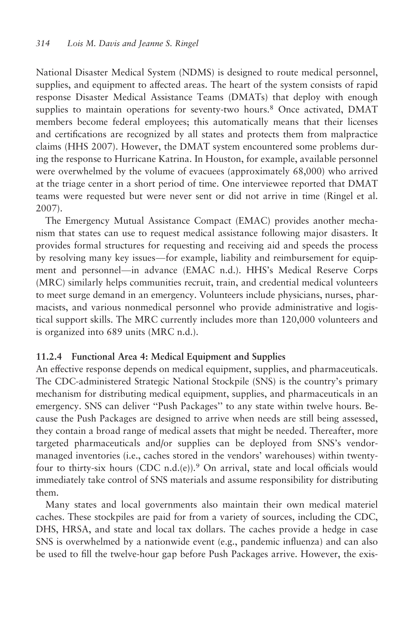National Disaster Medical System (NDMS) is designed to route medical personnel, supplies, and equipment to affected areas. The heart of the system consists of rapid response Disaster Medical Assistance Teams (DMATs) that deploy with enough supplies to maintain operations for seventy-two hours.<sup>8</sup> Once activated, DMAT members become federal employees; this automatically means that their licenses and certifications are recognized by all states and protects them from malpractice claims (HHS 2007). However, the DMAT system encountered some problems during the response to Hurricane Katrina. In Houston, for example, available personnel were overwhelmed by the volume of evacuees (approximately 68,000) who arrived at the triage center in a short period of time. One interviewee reported that DMAT teams were requested but were never sent or did not arrive in time (Ringel et al. 2007).

The Emergency Mutual Assistance Compact (EMAC) provides another mechanism that states can use to request medical assistance following major disasters. It provides formal structures for requesting and receiving aid and speeds the process by resolving many key issues—for example, liability and reimbursement for equipment and personnel—in advance (EMAC n.d.). HHS's Medical Reserve Corps (MRC) similarly helps communities recruit, train, and credential medical volunteers to meet surge demand in an emergency. Volunteers include physicians, nurses, pharmacists, and various nonmedical personnel who provide administrative and logistical support skills. The MRC currently includes more than 120,000 volunteers and is organized into 689 units (MRC n.d.).

#### 11.2.4 Functional Area 4: Medical Equipment and Supplies

An effective response depends on medical equipment, supplies, and pharmaceuticals. The CDC-administered Strategic National Stockpile (SNS) is the country's primary mechanism for distributing medical equipment, supplies, and pharmaceuticals in an emergency. SNS can deliver ''Push Packages'' to any state within twelve hours. Because the Push Packages are designed to arrive when needs are still being assessed, they contain a broad range of medical assets that might be needed. Thereafter, more targeted pharmaceuticals and/or supplies can be deployed from SNS's vendormanaged inventories (i.e., caches stored in the vendors' warehouses) within twentyfour to thirty-six hours (CDC n.d.(e)).<sup>9</sup> On arrival, state and local officials would immediately take control of SNS materials and assume responsibility for distributing them.

Many states and local governments also maintain their own medical materiel caches. These stockpiles are paid for from a variety of sources, including the CDC, DHS, HRSA, and state and local tax dollars. The caches provide a hedge in case SNS is overwhelmed by a nationwide event (e.g., pandemic influenza) and can also be used to fill the twelve-hour gap before Push Packages arrive. However, the exis-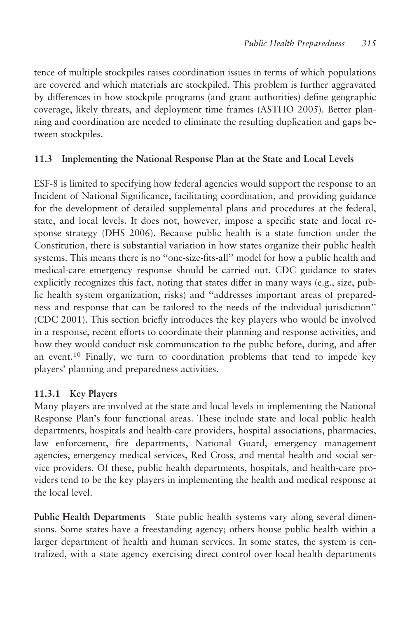tence of multiple stockpiles raises coordination issues in terms of which populations are covered and which materials are stockpiled. This problem is further aggravated by differences in how stockpile programs (and grant authorities) define geographic coverage, likely threats, and deployment time frames (ASTHO 2005). Better planning and coordination are needed to eliminate the resulting duplication and gaps between stockpiles.

# 11.3 Implementing the National Response Plan at the State and Local Levels

ESF-8 is limited to specifying how federal agencies would support the response to an Incident of National Significance, facilitating coordination, and providing guidance for the development of detailed supplemental plans and procedures at the federal, state, and local levels. It does not, however, impose a specific state and local response strategy (DHS 2006). Because public health is a state function under the Constitution, there is substantial variation in how states organize their public health systems. This means there is no ''one-size-fits-all'' model for how a public health and medical-care emergency response should be carried out. CDC guidance to states explicitly recognizes this fact, noting that states differ in many ways (e.g., size, public health system organization, risks) and ''addresses important areas of preparedness and response that can be tailored to the needs of the individual jurisdiction'' (CDC 2001). This section briefly introduces the key players who would be involved in a response, recent efforts to coordinate their planning and response activities, and how they would conduct risk communication to the public before, during, and after an event.<sup>10</sup> Finally, we turn to coordination problems that tend to impede key players' planning and preparedness activities.

## 11.3.1 Key Players

Many players are involved at the state and local levels in implementing the National Response Plan's four functional areas. These include state and local public health departments, hospitals and health-care providers, hospital associations, pharmacies, law enforcement, fire departments, National Guard, emergency management agencies, emergency medical services, Red Cross, and mental health and social service providers. Of these, public health departments, hospitals, and health-care providers tend to be the key players in implementing the health and medical response at the local level.

Public Health Departments State public health systems vary along several dimensions. Some states have a freestanding agency; others house public health within a larger department of health and human services. In some states, the system is centralized, with a state agency exercising direct control over local health departments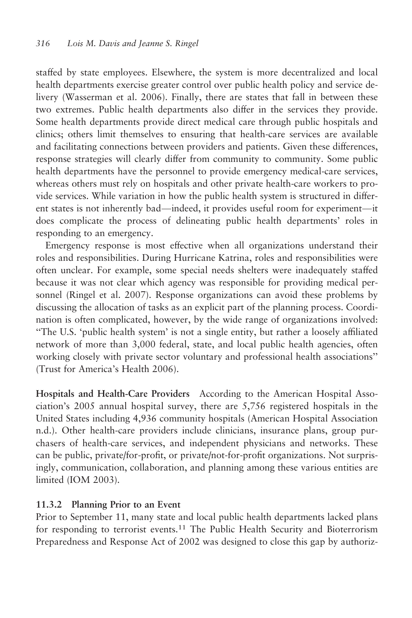staffed by state employees. Elsewhere, the system is more decentralized and local health departments exercise greater control over public health policy and service delivery (Wasserman et al. 2006). Finally, there are states that fall in between these two extremes. Public health departments also differ in the services they provide. Some health departments provide direct medical care through public hospitals and clinics; others limit themselves to ensuring that health-care services are available and facilitating connections between providers and patients. Given these differences, response strategies will clearly differ from community to community. Some public health departments have the personnel to provide emergency medical-care services, whereas others must rely on hospitals and other private health-care workers to provide services. While variation in how the public health system is structured in different states is not inherently bad—indeed, it provides useful room for experiment—it does complicate the process of delineating public health departments' roles in responding to an emergency.

Emergency response is most effective when all organizations understand their roles and responsibilities. During Hurricane Katrina, roles and responsibilities were often unclear. For example, some special needs shelters were inadequately staffed because it was not clear which agency was responsible for providing medical personnel (Ringel et al. 2007). Response organizations can avoid these problems by discussing the allocation of tasks as an explicit part of the planning process. Coordination is often complicated, however, by the wide range of organizations involved: ''The U.S. 'public health system' is not a single entity, but rather a loosely affiliated network of more than 3,000 federal, state, and local public health agencies, often working closely with private sector voluntary and professional health associations'' (Trust for America's Health 2006).

Hospitals and Health-Care Providers According to the American Hospital Association's 2005 annual hospital survey, there are 5,756 registered hospitals in the United States including 4,936 community hospitals (American Hospital Association n.d.). Other health-care providers include clinicians, insurance plans, group purchasers of health-care services, and independent physicians and networks. These can be public, private/for-profit, or private/not-for-profit organizations. Not surprisingly, communication, collaboration, and planning among these various entities are limited (IOM 2003).

## 11.3.2 Planning Prior to an Event

Prior to September 11, many state and local public health departments lacked plans for responding to terrorist events.<sup>11</sup> The Public Health Security and Bioterrorism Preparedness and Response Act of 2002 was designed to close this gap by authoriz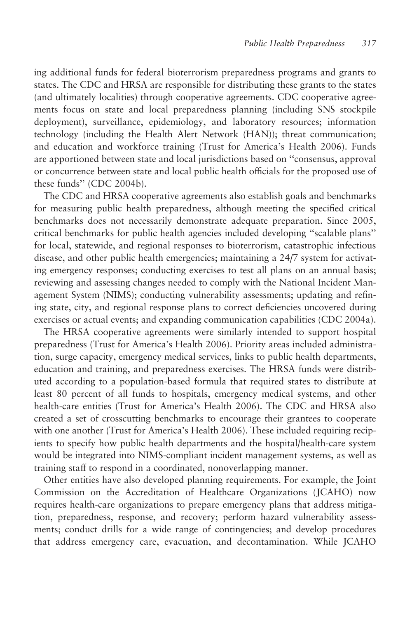ing additional funds for federal bioterrorism preparedness programs and grants to states. The CDC and HRSA are responsible for distributing these grants to the states (and ultimately localities) through cooperative agreements. CDC cooperative agreements focus on state and local preparedness planning (including SNS stockpile deployment), surveillance, epidemiology, and laboratory resources; information technology (including the Health Alert Network (HAN)); threat communication; and education and workforce training (Trust for America's Health 2006). Funds are apportioned between state and local jurisdictions based on ''consensus, approval or concurrence between state and local public health officials for the proposed use of these funds'' (CDC 2004b).

The CDC and HRSA cooperative agreements also establish goals and benchmarks for measuring public health preparedness, although meeting the specified critical benchmarks does not necessarily demonstrate adequate preparation. Since 2005, critical benchmarks for public health agencies included developing ''scalable plans'' for local, statewide, and regional responses to bioterrorism, catastrophic infectious disease, and other public health emergencies; maintaining a 24/7 system for activating emergency responses; conducting exercises to test all plans on an annual basis; reviewing and assessing changes needed to comply with the National Incident Management System (NIMS); conducting vulnerability assessments; updating and refining state, city, and regional response plans to correct deficiencies uncovered during exercises or actual events; and expanding communication capabilities (CDC 2004a).

The HRSA cooperative agreements were similarly intended to support hospital preparedness (Trust for America's Health 2006). Priority areas included administration, surge capacity, emergency medical services, links to public health departments, education and training, and preparedness exercises. The HRSA funds were distributed according to a population-based formula that required states to distribute at least 80 percent of all funds to hospitals, emergency medical systems, and other health-care entities (Trust for America's Health 2006). The CDC and HRSA also created a set of crosscutting benchmarks to encourage their grantees to cooperate with one another (Trust for America's Health 2006). These included requiring recipients to specify how public health departments and the hospital/health-care system would be integrated into NIMS-compliant incident management systems, as well as training staff to respond in a coordinated, nonoverlapping manner.

Other entities have also developed planning requirements. For example, the Joint Commission on the Accreditation of Healthcare Organizations (JCAHO) now requires health-care organizations to prepare emergency plans that address mitigation, preparedness, response, and recovery; perform hazard vulnerability assessments; conduct drills for a wide range of contingencies; and develop procedures that address emergency care, evacuation, and decontamination. While JCAHO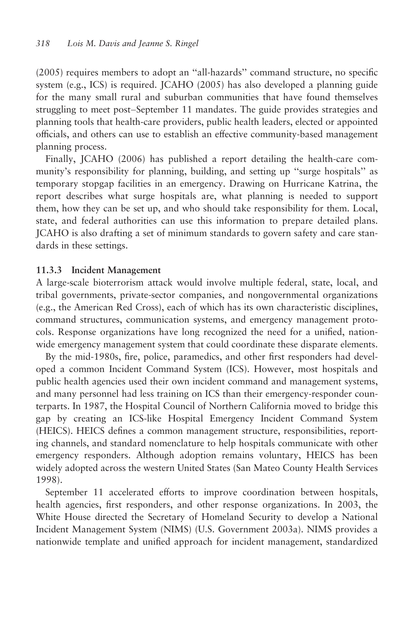(2005) requires members to adopt an ''all-hazards'' command structure, no specific system (e.g., ICS) is required. JCAHO (2005) has also developed a planning guide for the many small rural and suburban communities that have found themselves struggling to meet post–September 11 mandates. The guide provides strategies and planning tools that health-care providers, public health leaders, elected or appointed officials, and others can use to establish an effective community-based management planning process.

Finally, JCAHO (2006) has published a report detailing the health-care community's responsibility for planning, building, and setting up ''surge hospitals'' as temporary stopgap facilities in an emergency. Drawing on Hurricane Katrina, the report describes what surge hospitals are, what planning is needed to support them, how they can be set up, and who should take responsibility for them. Local, state, and federal authorities can use this information to prepare detailed plans. JCAHO is also drafting a set of minimum standards to govern safety and care standards in these settings.

#### 11.3.3 Incident Management

A large-scale bioterrorism attack would involve multiple federal, state, local, and tribal governments, private-sector companies, and nongovernmental organizations (e.g., the American Red Cross), each of which has its own characteristic disciplines, command structures, communication systems, and emergency management protocols. Response organizations have long recognized the need for a unified, nationwide emergency management system that could coordinate these disparate elements.

By the mid-1980s, fire, police, paramedics, and other first responders had developed a common Incident Command System (ICS). However, most hospitals and public health agencies used their own incident command and management systems, and many personnel had less training on ICS than their emergency-responder counterparts. In 1987, the Hospital Council of Northern California moved to bridge this gap by creating an ICS-like Hospital Emergency Incident Command System (HEICS). HEICS defines a common management structure, responsibilities, reporting channels, and standard nomenclature to help hospitals communicate with other emergency responders. Although adoption remains voluntary, HEICS has been widely adopted across the western United States (San Mateo County Health Services 1998).

September 11 accelerated efforts to improve coordination between hospitals, health agencies, first responders, and other response organizations. In 2003, the White House directed the Secretary of Homeland Security to develop a National Incident Management System (NIMS) (U.S. Government 2003a). NIMS provides a nationwide template and unified approach for incident management, standardized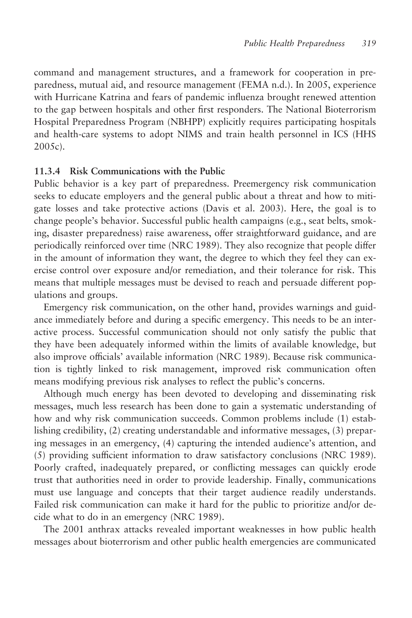command and management structures, and a framework for cooperation in preparedness, mutual aid, and resource management (FEMA n.d.). In 2005, experience with Hurricane Katrina and fears of pandemic influenza brought renewed attention to the gap between hospitals and other first responders. The National Bioterrorism Hospital Preparedness Program (NBHPP) explicitly requires participating hospitals and health-care systems to adopt NIMS and train health personnel in ICS (HHS 2005c).

#### 11.3.4 Risk Communications with the Public

Public behavior is a key part of preparedness. Preemergency risk communication seeks to educate employers and the general public about a threat and how to mitigate losses and take protective actions (Davis et al. 2003). Here, the goal is to change people's behavior. Successful public health campaigns (e.g., seat belts, smoking, disaster preparedness) raise awareness, offer straightforward guidance, and are periodically reinforced over time (NRC 1989). They also recognize that people differ in the amount of information they want, the degree to which they feel they can exercise control over exposure and/or remediation, and their tolerance for risk. This means that multiple messages must be devised to reach and persuade different populations and groups.

Emergency risk communication, on the other hand, provides warnings and guidance immediately before and during a specific emergency. This needs to be an interactive process. Successful communication should not only satisfy the public that they have been adequately informed within the limits of available knowledge, but also improve officials' available information (NRC 1989). Because risk communication is tightly linked to risk management, improved risk communication often means modifying previous risk analyses to reflect the public's concerns.

Although much energy has been devoted to developing and disseminating risk messages, much less research has been done to gain a systematic understanding of how and why risk communication succeeds. Common problems include (1) establishing credibility, (2) creating understandable and informative messages, (3) preparing messages in an emergency, (4) capturing the intended audience's attention, and (5) providing sufficient information to draw satisfactory conclusions (NRC 1989). Poorly crafted, inadequately prepared, or conflicting messages can quickly erode trust that authorities need in order to provide leadership. Finally, communications must use language and concepts that their target audience readily understands. Failed risk communication can make it hard for the public to prioritize and/or decide what to do in an emergency (NRC 1989).

The 2001 anthrax attacks revealed important weaknesses in how public health messages about bioterrorism and other public health emergencies are communicated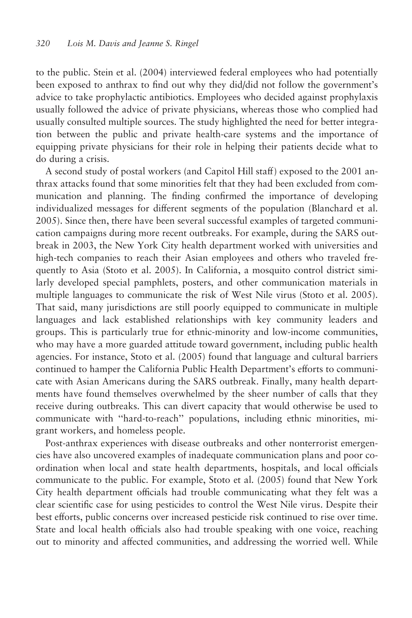to the public. Stein et al. (2004) interviewed federal employees who had potentially been exposed to anthrax to find out why they did/did not follow the government's advice to take prophylactic antibiotics. Employees who decided against prophylaxis usually followed the advice of private physicians, whereas those who complied had usually consulted multiple sources. The study highlighted the need for better integration between the public and private health-care systems and the importance of equipping private physicians for their role in helping their patients decide what to do during a crisis.

A second study of postal workers (and Capitol Hill staff) exposed to the 2001 anthrax attacks found that some minorities felt that they had been excluded from communication and planning. The finding confirmed the importance of developing individualized messages for different segments of the population (Blanchard et al. 2005). Since then, there have been several successful examples of targeted communication campaigns during more recent outbreaks. For example, during the SARS outbreak in 2003, the New York City health department worked with universities and high-tech companies to reach their Asian employees and others who traveled frequently to Asia (Stoto et al. 2005). In California, a mosquito control district similarly developed special pamphlets, posters, and other communication materials in multiple languages to communicate the risk of West Nile virus (Stoto et al. 2005). That said, many jurisdictions are still poorly equipped to communicate in multiple languages and lack established relationships with key community leaders and groups. This is particularly true for ethnic-minority and low-income communities, who may have a more guarded attitude toward government, including public health agencies. For instance, Stoto et al. (2005) found that language and cultural barriers continued to hamper the California Public Health Department's efforts to communicate with Asian Americans during the SARS outbreak. Finally, many health departments have found themselves overwhelmed by the sheer number of calls that they receive during outbreaks. This can divert capacity that would otherwise be used to communicate with ''hard-to-reach'' populations, including ethnic minorities, migrant workers, and homeless people.

Post-anthrax experiences with disease outbreaks and other nonterrorist emergencies have also uncovered examples of inadequate communication plans and poor coordination when local and state health departments, hospitals, and local officials communicate to the public. For example, Stoto et al. (2005) found that New York City health department officials had trouble communicating what they felt was a clear scientific case for using pesticides to control the West Nile virus. Despite their best efforts, public concerns over increased pesticide risk continued to rise over time. State and local health officials also had trouble speaking with one voice, reaching out to minority and affected communities, and addressing the worried well. While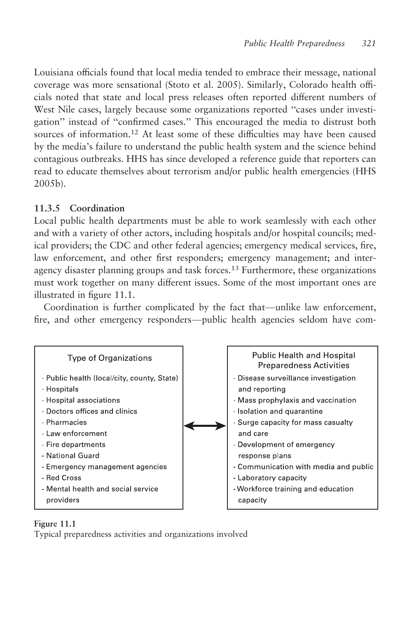Louisiana officials found that local media tended to embrace their message, national coverage was more sensational (Stoto et al. 2005). Similarly, Colorado health officials noted that state and local press releases often reported different numbers of West Nile cases, largely because some organizations reported ''cases under investigation'' instead of ''confirmed cases.'' This encouraged the media to distrust both sources of information.<sup>12</sup> At least some of these difficulties may have been caused by the media's failure to understand the public health system and the science behind contagious outbreaks. HHS has since developed a reference guide that reporters can read to educate themselves about terrorism and/or public health emergencies (HHS 2005b).

## 11.3.5 Coordination

Local public health departments must be able to work seamlessly with each other and with a variety of other actors, including hospitals and/or hospital councils; medical providers; the CDC and other federal agencies; emergency medical services, fire, law enforcement, and other first responders; emergency management; and interagency disaster planning groups and task forces.<sup>13</sup> Furthermore, these organizations must work together on many different issues. Some of the most important ones are illustrated in figure 11.1.

Coordination is further complicated by the fact that—unlike law enforcement, fire, and other emergency responders—public health agencies seldom have com-



## Figure 11.1

Typical preparedness activities and organizations involved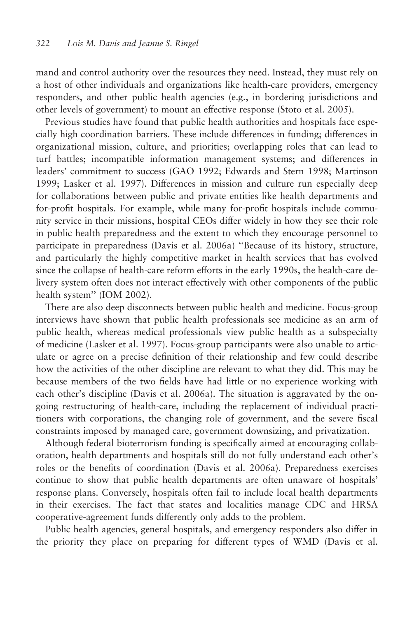mand and control authority over the resources they need. Instead, they must rely on a host of other individuals and organizations like health-care providers, emergency responders, and other public health agencies (e.g., in bordering jurisdictions and other levels of government) to mount an effective response (Stoto et al. 2005).

Previous studies have found that public health authorities and hospitals face especially high coordination barriers. These include differences in funding; differences in organizational mission, culture, and priorities; overlapping roles that can lead to turf battles; incompatible information management systems; and differences in leaders' commitment to success (GAO 1992; Edwards and Stern 1998; Martinson 1999; Lasker et al. 1997). Differences in mission and culture run especially deep for collaborations between public and private entities like health departments and for-profit hospitals. For example, while many for-profit hospitals include community service in their missions, hospital CEOs differ widely in how they see their role in public health preparedness and the extent to which they encourage personnel to participate in preparedness (Davis et al. 2006a) ''Because of its history, structure, and particularly the highly competitive market in health services that has evolved since the collapse of health-care reform efforts in the early 1990s, the health-care delivery system often does not interact effectively with other components of the public health system'' (IOM 2002).

There are also deep disconnects between public health and medicine. Focus-group interviews have shown that public health professionals see medicine as an arm of public health, whereas medical professionals view public health as a subspecialty of medicine (Lasker et al. 1997). Focus-group participants were also unable to articulate or agree on a precise definition of their relationship and few could describe how the activities of the other discipline are relevant to what they did. This may be because members of the two fields have had little or no experience working with each other's discipline (Davis et al. 2006a). The situation is aggravated by the ongoing restructuring of health-care, including the replacement of individual practitioners with corporations, the changing role of government, and the severe fiscal constraints imposed by managed care, government downsizing, and privatization.

Although federal bioterrorism funding is specifically aimed at encouraging collaboration, health departments and hospitals still do not fully understand each other's roles or the benefits of coordination (Davis et al. 2006a). Preparedness exercises continue to show that public health departments are often unaware of hospitals' response plans. Conversely, hospitals often fail to include local health departments in their exercises. The fact that states and localities manage CDC and HRSA cooperative-agreement funds differently only adds to the problem.

Public health agencies, general hospitals, and emergency responders also differ in the priority they place on preparing for different types of WMD (Davis et al.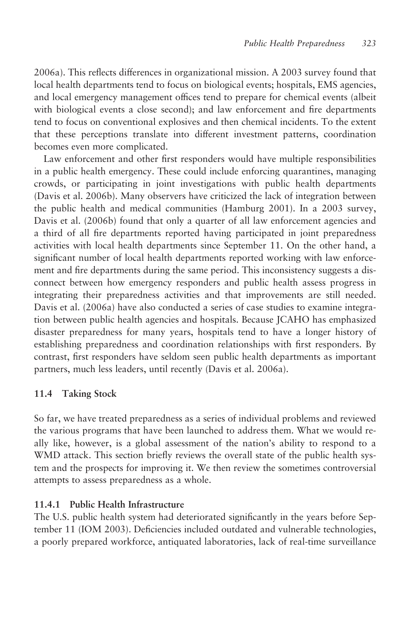2006a). This reflects differences in organizational mission. A 2003 survey found that local health departments tend to focus on biological events; hospitals, EMS agencies, and local emergency management offices tend to prepare for chemical events (albeit with biological events a close second); and law enforcement and fire departments tend to focus on conventional explosives and then chemical incidents. To the extent that these perceptions translate into different investment patterns, coordination becomes even more complicated.

Law enforcement and other first responders would have multiple responsibilities in a public health emergency. These could include enforcing quarantines, managing crowds, or participating in joint investigations with public health departments (Davis et al. 2006b). Many observers have criticized the lack of integration between the public health and medical communities (Hamburg 2001). In a 2003 survey, Davis et al. (2006b) found that only a quarter of all law enforcement agencies and a third of all fire departments reported having participated in joint preparedness activities with local health departments since September 11. On the other hand, a significant number of local health departments reported working with law enforcement and fire departments during the same period. This inconsistency suggests a disconnect between how emergency responders and public health assess progress in integrating their preparedness activities and that improvements are still needed. Davis et al. (2006a) have also conducted a series of case studies to examine integration between public health agencies and hospitals. Because JCAHO has emphasized disaster preparedness for many years, hospitals tend to have a longer history of establishing preparedness and coordination relationships with first responders. By contrast, first responders have seldom seen public health departments as important partners, much less leaders, until recently (Davis et al. 2006a).

## 11.4 Taking Stock

So far, we have treated preparedness as a series of individual problems and reviewed the various programs that have been launched to address them. What we would really like, however, is a global assessment of the nation's ability to respond to a WMD attack. This section briefly reviews the overall state of the public health system and the prospects for improving it. We then review the sometimes controversial attempts to assess preparedness as a whole.

## 11.4.1 Public Health Infrastructure

The U.S. public health system had deteriorated significantly in the years before September 11 (IOM 2003). Deficiencies included outdated and vulnerable technologies, a poorly prepared workforce, antiquated laboratories, lack of real-time surveillance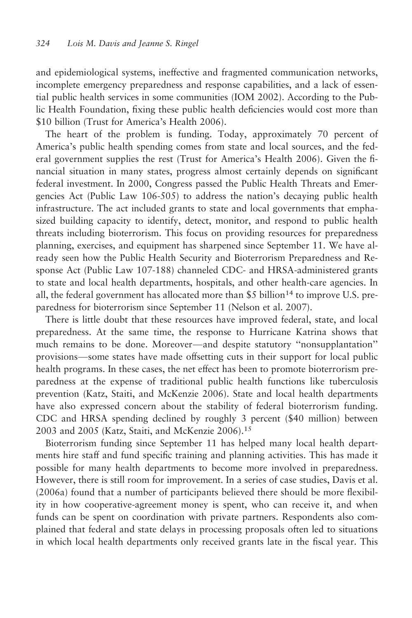and epidemiological systems, ineffective and fragmented communication networks, incomplete emergency preparedness and response capabilities, and a lack of essential public health services in some communities (IOM 2002). According to the Public Health Foundation, fixing these public health deficiencies would cost more than \$10 billion (Trust for America's Health 2006).

The heart of the problem is funding. Today, approximately 70 percent of America's public health spending comes from state and local sources, and the federal government supplies the rest (Trust for America's Health 2006). Given the financial situation in many states, progress almost certainly depends on significant federal investment. In 2000, Congress passed the Public Health Threats and Emergencies Act (Public Law 106-505) to address the nation's decaying public health infrastructure. The act included grants to state and local governments that emphasized building capacity to identify, detect, monitor, and respond to public health threats including bioterrorism. This focus on providing resources for preparedness planning, exercises, and equipment has sharpened since September 11. We have already seen how the Public Health Security and Bioterrorism Preparedness and Response Act (Public Law 107-188) channeled CDC- and HRSA-administered grants to state and local health departments, hospitals, and other health-care agencies. In all, the federal government has allocated more than \$5 billion<sup>14</sup> to improve U.S. preparedness for bioterrorism since September 11 (Nelson et al. 2007).

There is little doubt that these resources have improved federal, state, and local preparedness. At the same time, the response to Hurricane Katrina shows that much remains to be done. Moreover—and despite statutory ''nonsupplantation'' provisions—some states have made offsetting cuts in their support for local public health programs. In these cases, the net effect has been to promote bioterrorism preparedness at the expense of traditional public health functions like tuberculosis prevention (Katz, Staiti, and McKenzie 2006). State and local health departments have also expressed concern about the stability of federal bioterrorism funding. CDC and HRSA spending declined by roughly 3 percent (\$40 million) between 2003 and 2005 (Katz, Staiti, and McKenzie 2006).<sup>15</sup>

Bioterrorism funding since September 11 has helped many local health departments hire staff and fund specific training and planning activities. This has made it possible for many health departments to become more involved in preparedness. However, there is still room for improvement. In a series of case studies, Davis et al. (2006a) found that a number of participants believed there should be more flexibility in how cooperative-agreement money is spent, who can receive it, and when funds can be spent on coordination with private partners. Respondents also complained that federal and state delays in processing proposals often led to situations in which local health departments only received grants late in the fiscal year. This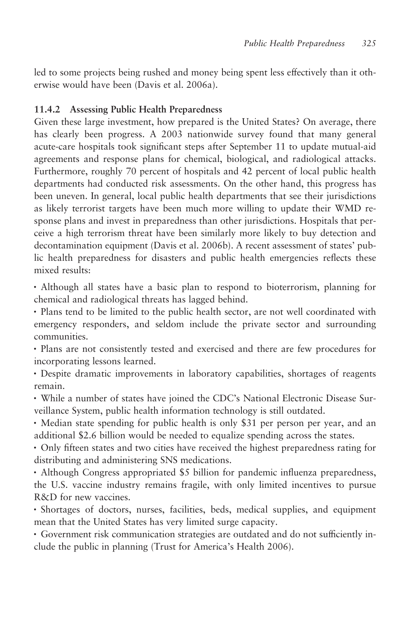led to some projects being rushed and money being spent less effectively than it otherwise would have been (Davis et al. 2006a).

## 11.4.2 Assessing Public Health Preparedness

Given these large investment, how prepared is the United States? On average, there has clearly been progress. A 2003 nationwide survey found that many general acute-care hospitals took significant steps after September 11 to update mutual-aid agreements and response plans for chemical, biological, and radiological attacks. Furthermore, roughly 70 percent of hospitals and 42 percent of local public health departments had conducted risk assessments. On the other hand, this progress has been uneven. In general, local public health departments that see their jurisdictions as likely terrorist targets have been much more willing to update their WMD response plans and invest in preparedness than other jurisdictions. Hospitals that perceive a high terrorism threat have been similarly more likely to buy detection and decontamination equipment (Davis et al. 2006b). A recent assessment of states' public health preparedness for disasters and public health emergencies reflects these mixed results:

• Although all states have a basic plan to respond to bioterrorism, planning for chemical and radiological threats has lagged behind.

• Plans tend to be limited to the public health sector, are not well coordinated with emergency responders, and seldom include the private sector and surrounding communities.

• Plans are not consistently tested and exercised and there are few procedures for incorporating lessons learned.

• Despite dramatic improvements in laboratory capabilities, shortages of reagents remain.

• While a number of states have joined the CDC's National Electronic Disease Surveillance System, public health information technology is still outdated.

• Median state spending for public health is only \$31 per person per year, and an additional \$2.6 billion would be needed to equalize spending across the states.

• Only fifteen states and two cities have received the highest preparedness rating for distributing and administering SNS medications.

• Although Congress appropriated \$5 billion for pandemic influenza preparedness, the U.S. vaccine industry remains fragile, with only limited incentives to pursue R&D for new vaccines.

• Shortages of doctors, nurses, facilities, beds, medical supplies, and equipment mean that the United States has very limited surge capacity.

• Government risk communication strategies are outdated and do not sufficiently include the public in planning (Trust for America's Health 2006).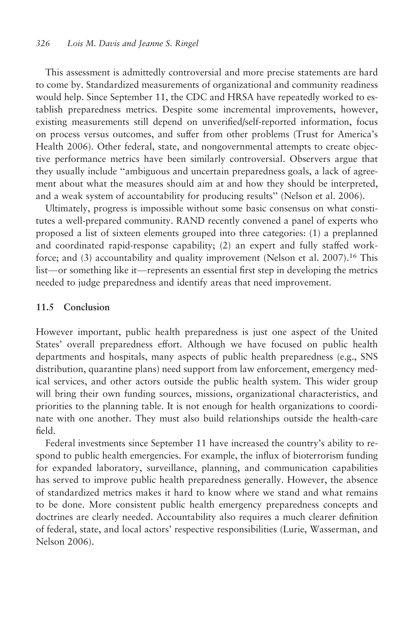This assessment is admittedly controversial and more precise statements are hard to come by. Standardized measurements of organizational and community readiness would help. Since September 11, the CDC and HRSA have repeatedly worked to establish preparedness metrics. Despite some incremental improvements, however, existing measurements still depend on unverified/self-reported information, focus on process versus outcomes, and suffer from other problems (Trust for America's Health 2006). Other federal, state, and nongovernmental attempts to create objective performance metrics have been similarly controversial. Observers argue that they usually include ''ambiguous and uncertain preparedness goals, a lack of agreement about what the measures should aim at and how they should be interpreted, and a weak system of accountability for producing results'' (Nelson et al. 2006).

Ultimately, progress is impossible without some basic consensus on what constitutes a well-prepared community. RAND recently convened a panel of experts who proposed a list of sixteen elements grouped into three categories: (1) a preplanned and coordinated rapid-response capability; (2) an expert and fully staffed workforce; and (3) accountability and quality improvement (Nelson et al. 2007).<sup>16</sup> This list—or something like it—represents an essential first step in developing the metrics needed to judge preparedness and identify areas that need improvement.

#### 11.5 Conclusion

However important, public health preparedness is just one aspect of the United States' overall preparedness effort. Although we have focused on public health departments and hospitals, many aspects of public health preparedness (e.g., SNS distribution, quarantine plans) need support from law enforcement, emergency medical services, and other actors outside the public health system. This wider group will bring their own funding sources, missions, organizational characteristics, and priorities to the planning table. It is not enough for health organizations to coordinate with one another. They must also build relationships outside the health-care field.

Federal investments since September 11 have increased the country's ability to respond to public health emergencies. For example, the influx of bioterrorism funding for expanded laboratory, surveillance, planning, and communication capabilities has served to improve public health preparedness generally. However, the absence of standardized metrics makes it hard to know where we stand and what remains to be done. More consistent public health emergency preparedness concepts and doctrines are clearly needed. Accountability also requires a much clearer definition of federal, state, and local actors' respective responsibilities (Lurie, Wasserman, and Nelson 2006).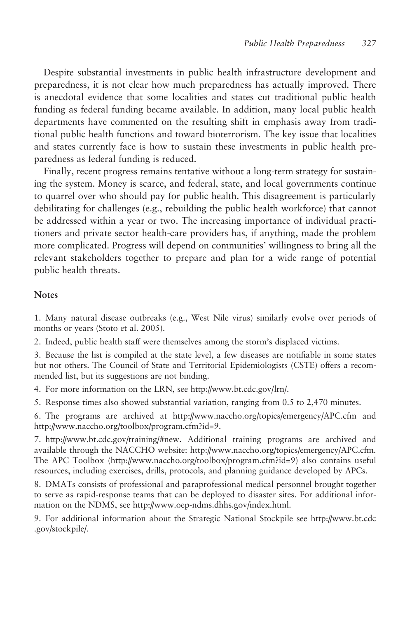Despite substantial investments in public health infrastructure development and preparedness, it is not clear how much preparedness has actually improved. There is anecdotal evidence that some localities and states cut traditional public health funding as federal funding became available. In addition, many local public health departments have commented on the resulting shift in emphasis away from traditional public health functions and toward bioterrorism. The key issue that localities and states currently face is how to sustain these investments in public health preparedness as federal funding is reduced.

Finally, recent progress remains tentative without a long-term strategy for sustaining the system. Money is scarce, and federal, state, and local governments continue to quarrel over who should pay for public health. This disagreement is particularly debilitating for challenges (e.g., rebuilding the public health workforce) that cannot be addressed within a year or two. The increasing importance of individual practitioners and private sector health-care providers has, if anything, made the problem more complicated. Progress will depend on communities' willingness to bring all the relevant stakeholders together to prepare and plan for a wide range of potential public health threats.

#### **Notes**

1. Many natural disease outbreaks (e.g., West Nile virus) similarly evolve over periods of months or years (Stoto et al. 2005).

2. Indeed, public health staff were themselves among the storm's displaced victims.

3. Because the list is compiled at the state level, a few diseases are notifiable in some states but not others. The Council of State and Territorial Epidemiologists (CSTE) offers a recommended list, but its suggestions are not binding.

4. For more information on the LRN, see [http://www.bt.cdc.gov/lrn/.](http://www.bt.cdc.gov/lrn/)

5. Response times also showed substantial variation, ranging from 0.5 to 2,470 minutes.

6. The programs are archived at<http://www.naccho.org/topics/emergency/APC.cfm> and [http://www.naccho.org/toolbox/program.cfm?id=9.](http://www.naccho.org/toolbox/program.cfm?id=9)

7. [http://www.bt.cdc.gov/training/#new.](http://www.bt.cdc.gov/training/#new) Additional training programs are archived and available through the NACCHO website: [http://www.naccho.org/topics/emergency/APC.cfm.](http://www.naccho.org/topics/emergency/APC.cfm) The APC Toolbox [\(http://www.naccho.org/toolbox/program.cfm?id=9\)](http://www.naccho.org/toolbox/program.cfm?id=9) also contains useful resources, including exercises, drills, protocols, and planning guidance developed by APCs.

8. DMATs consists of professional and paraprofessional medical personnel brought together to serve as rapid-response teams that can be deployed to disaster sites. For additional information on the NDMS, see [http://www.oep-ndms.dhhs.gov/index.html.](http://www.oep-ndms.dhhs.gov/index.html)

9. For additional information about the Strategic National Stockpile see [http://www.bt.cdc](http://www.bt.cdc.gov/stockpile/) [.gov/stockpile/.](http://www.bt.cdc.gov/stockpile/)